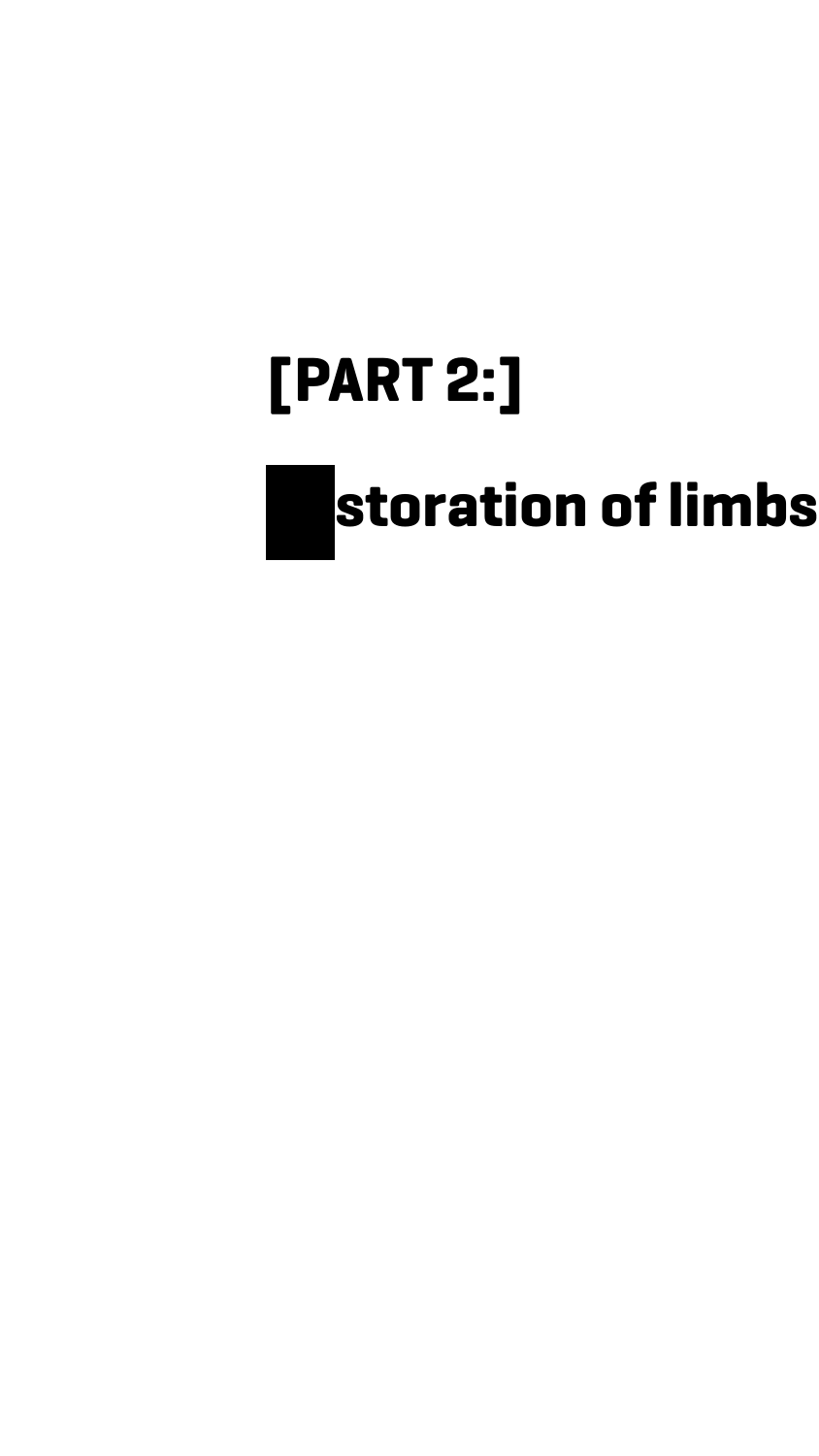#### **[PART 2:]**

## **Restoration of limbs**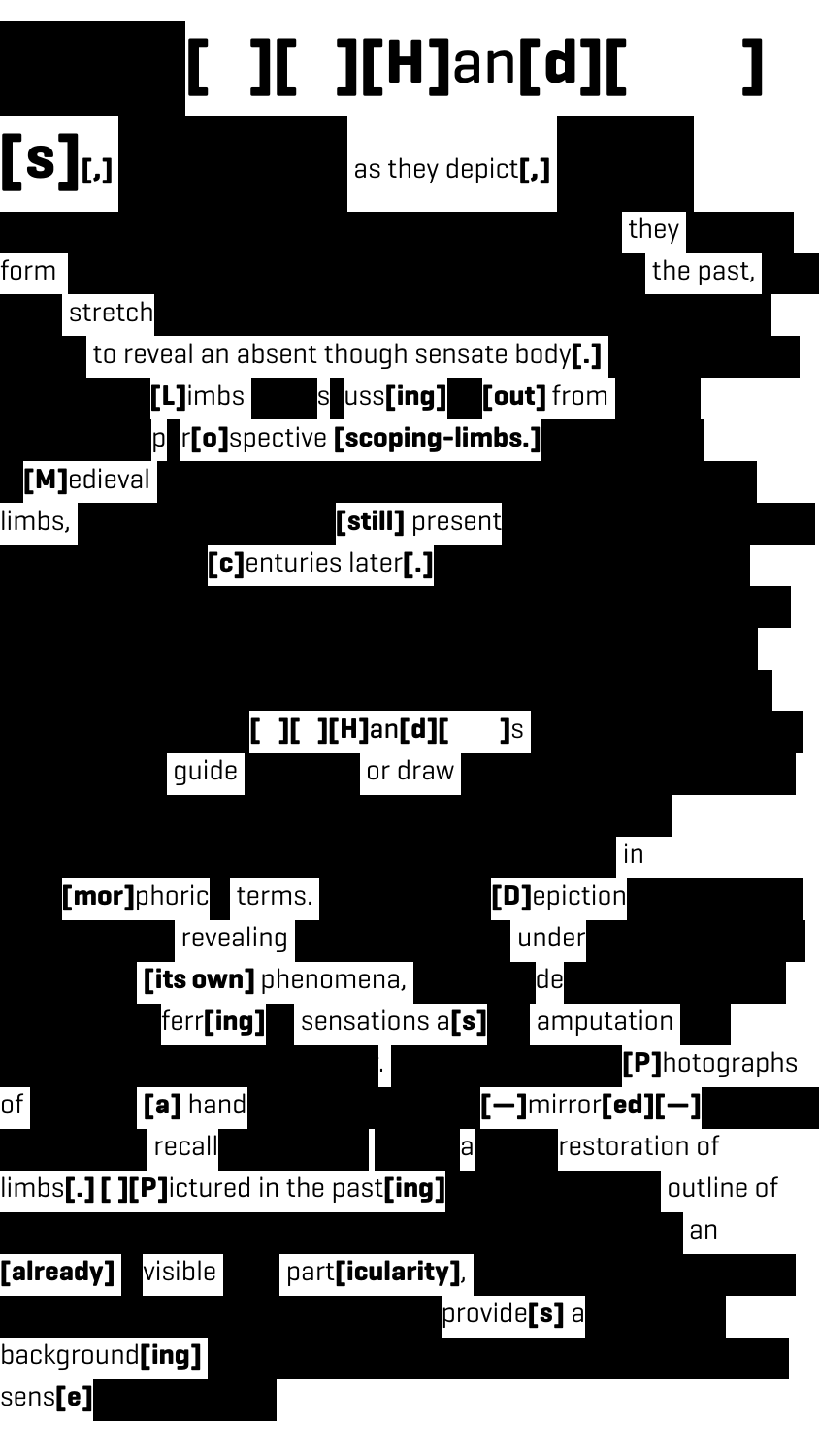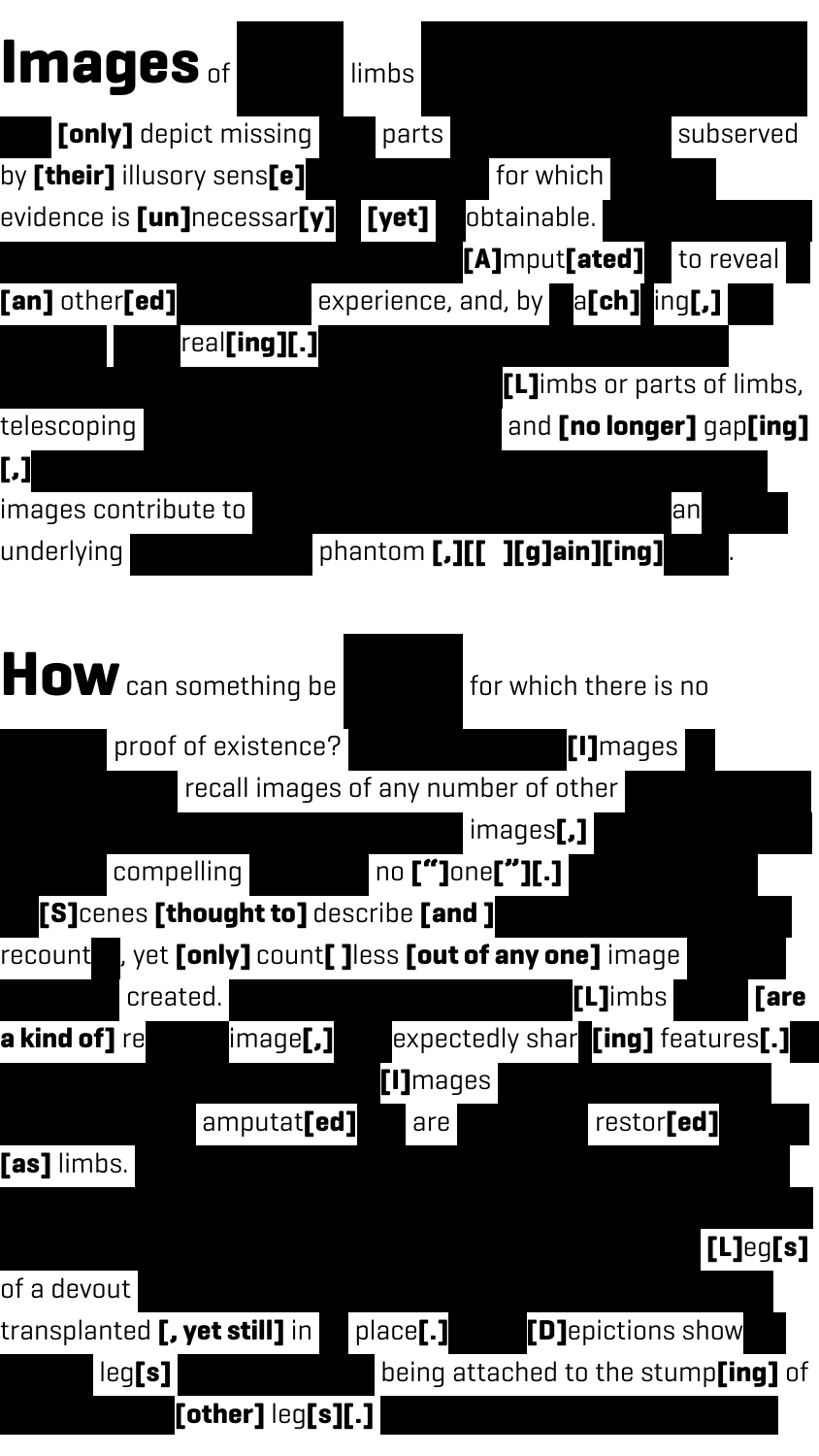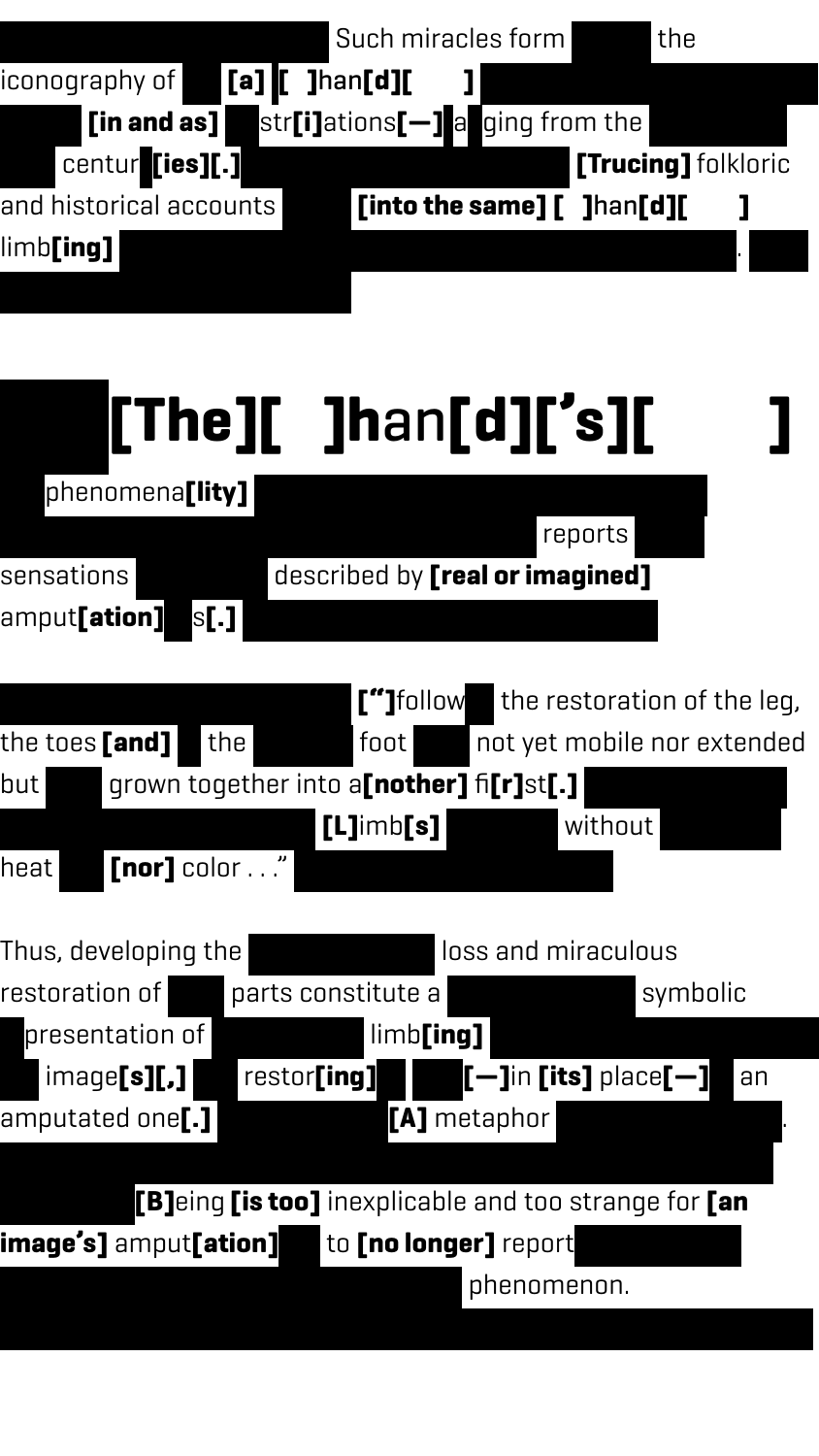



**[B]**eing **[is too]** inexplicable and too strange for **[an image's]** amput**[ation]ed** to **[no longer]** report phenomenon.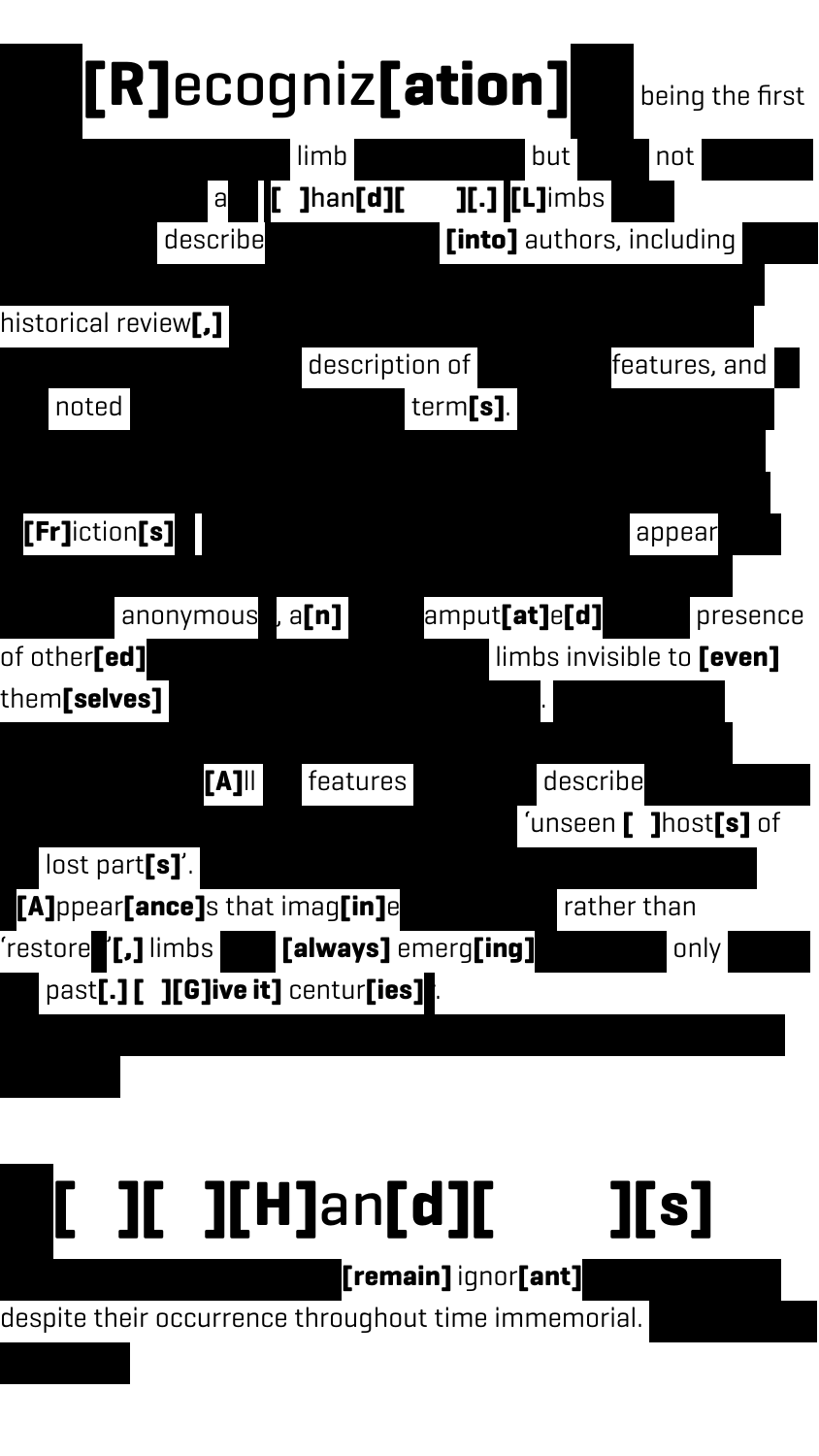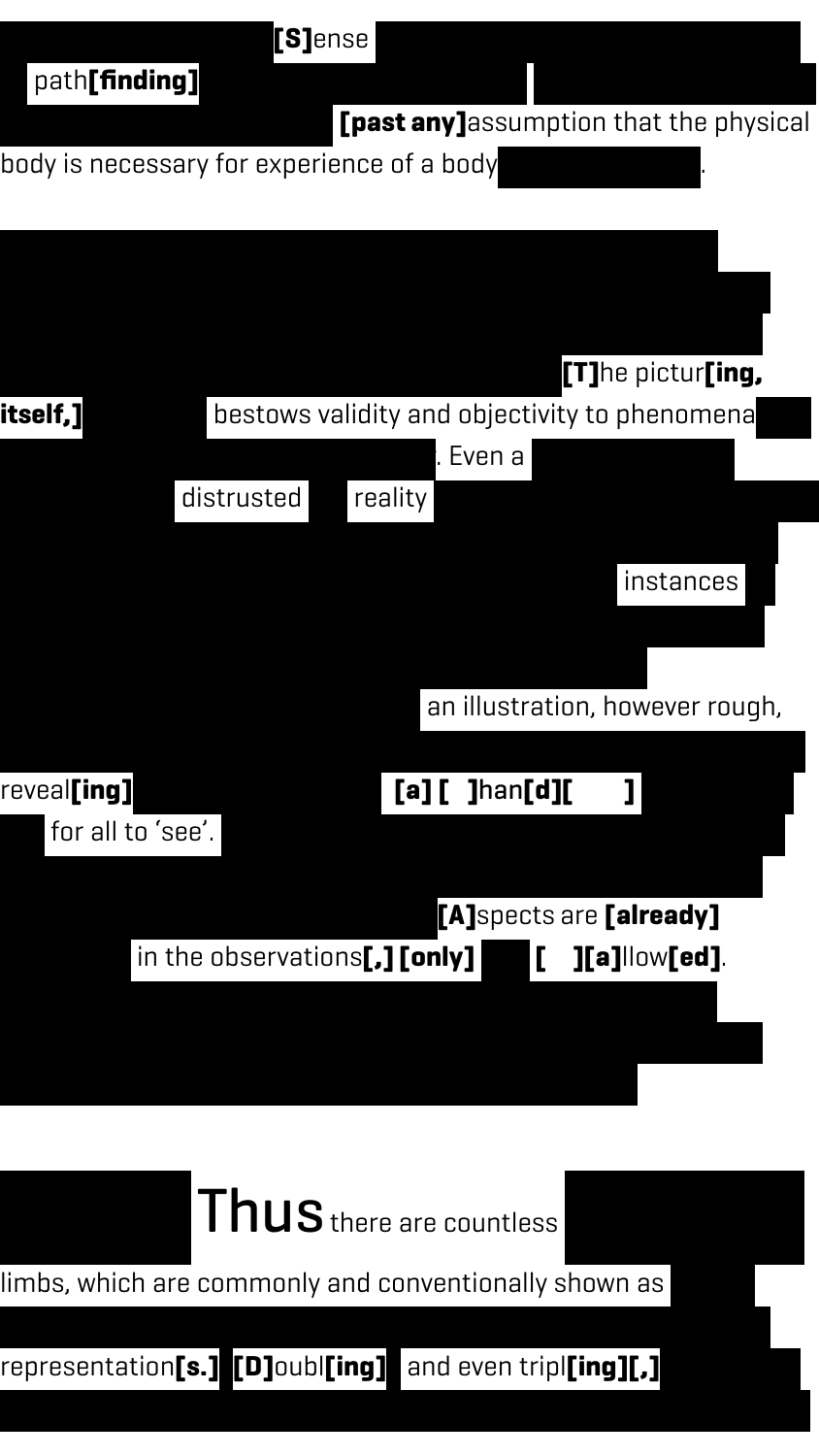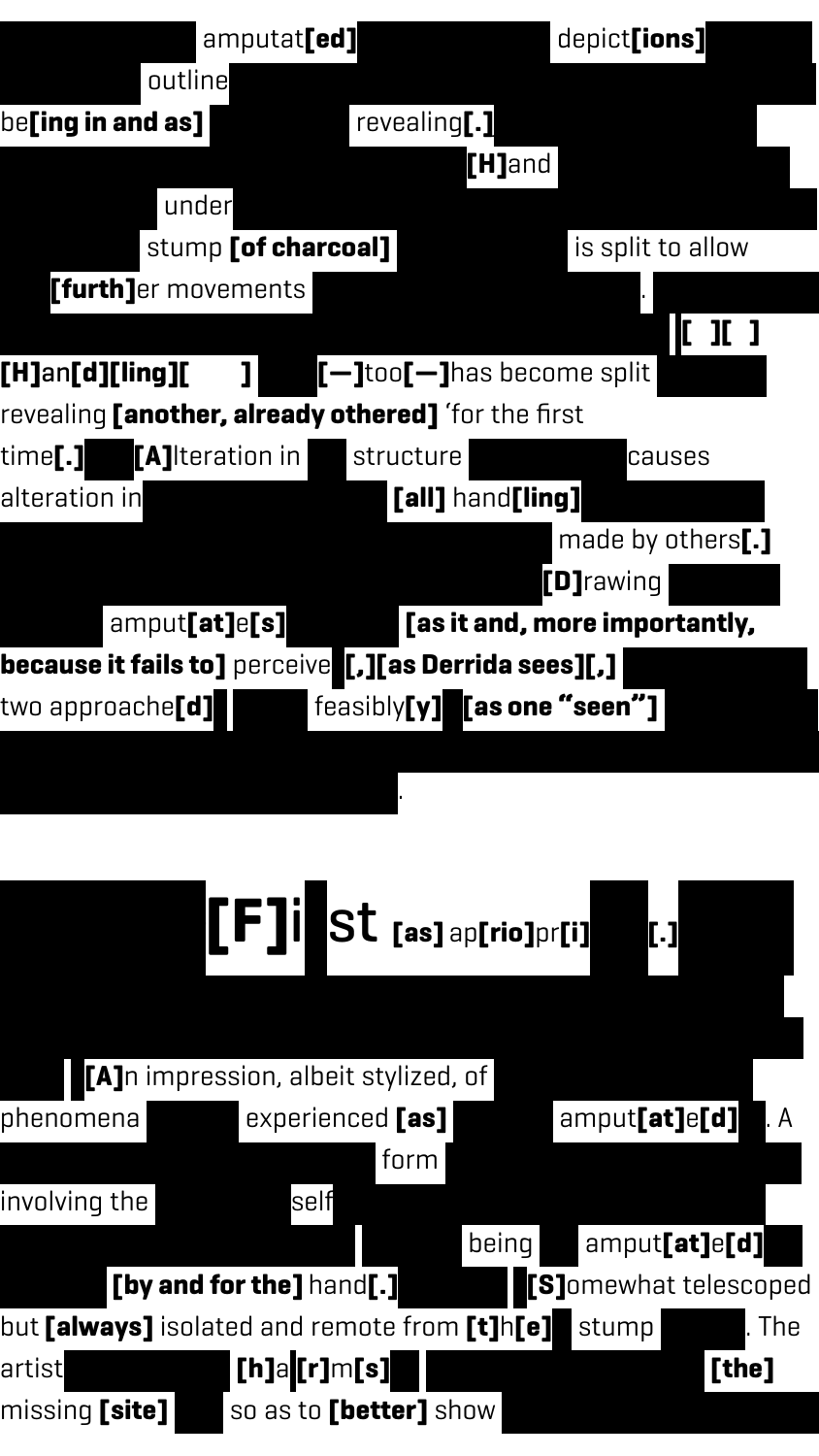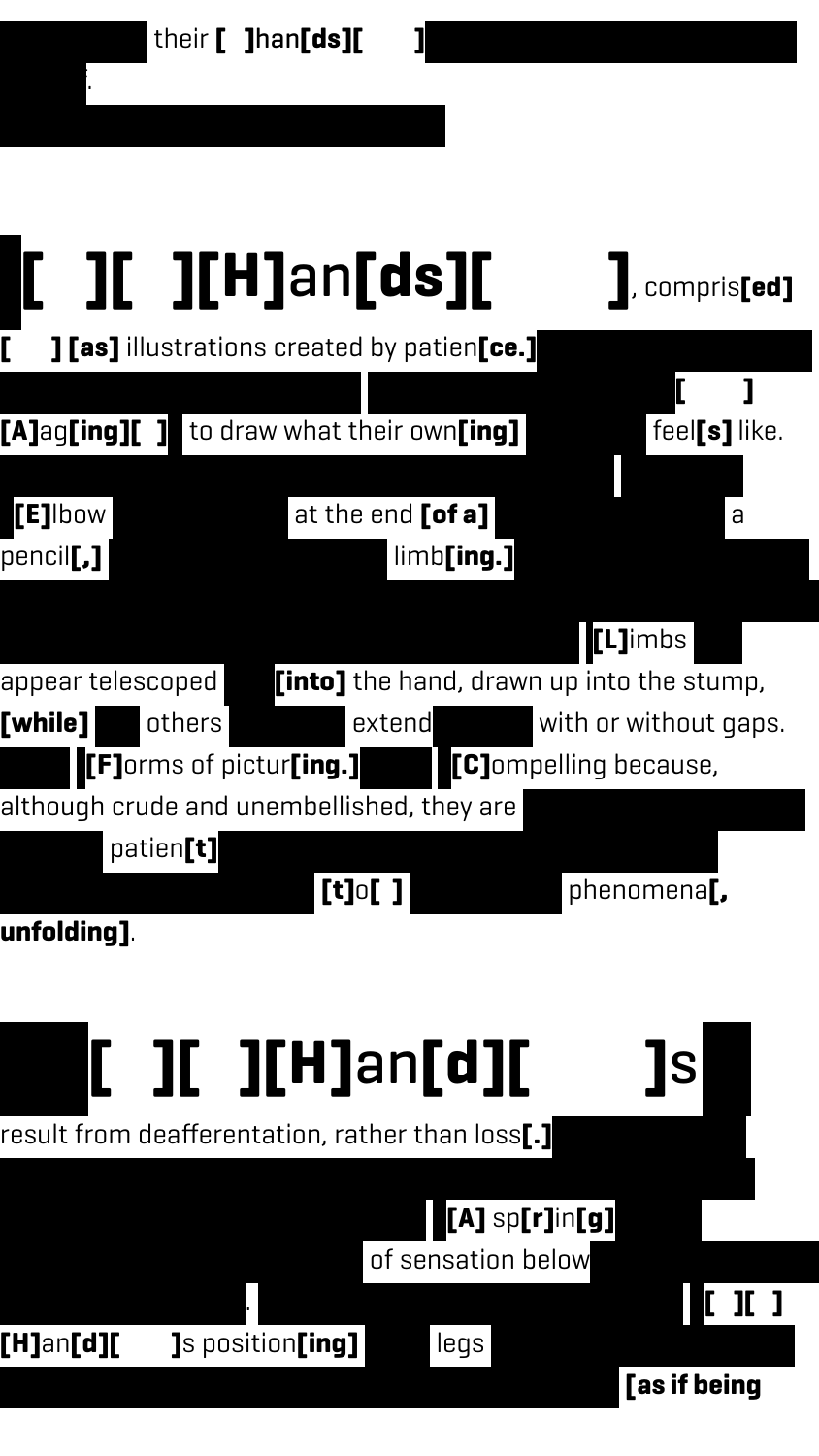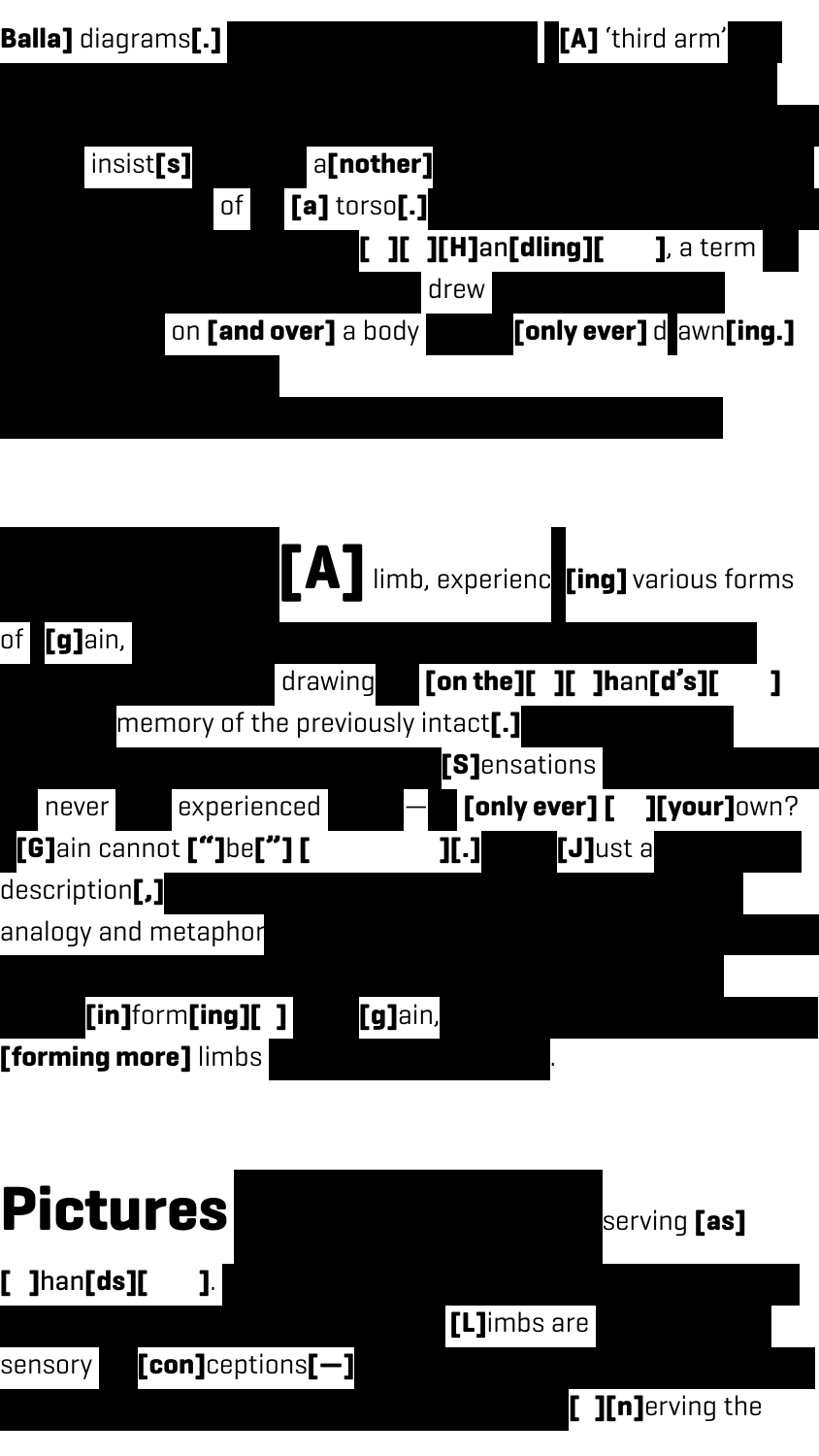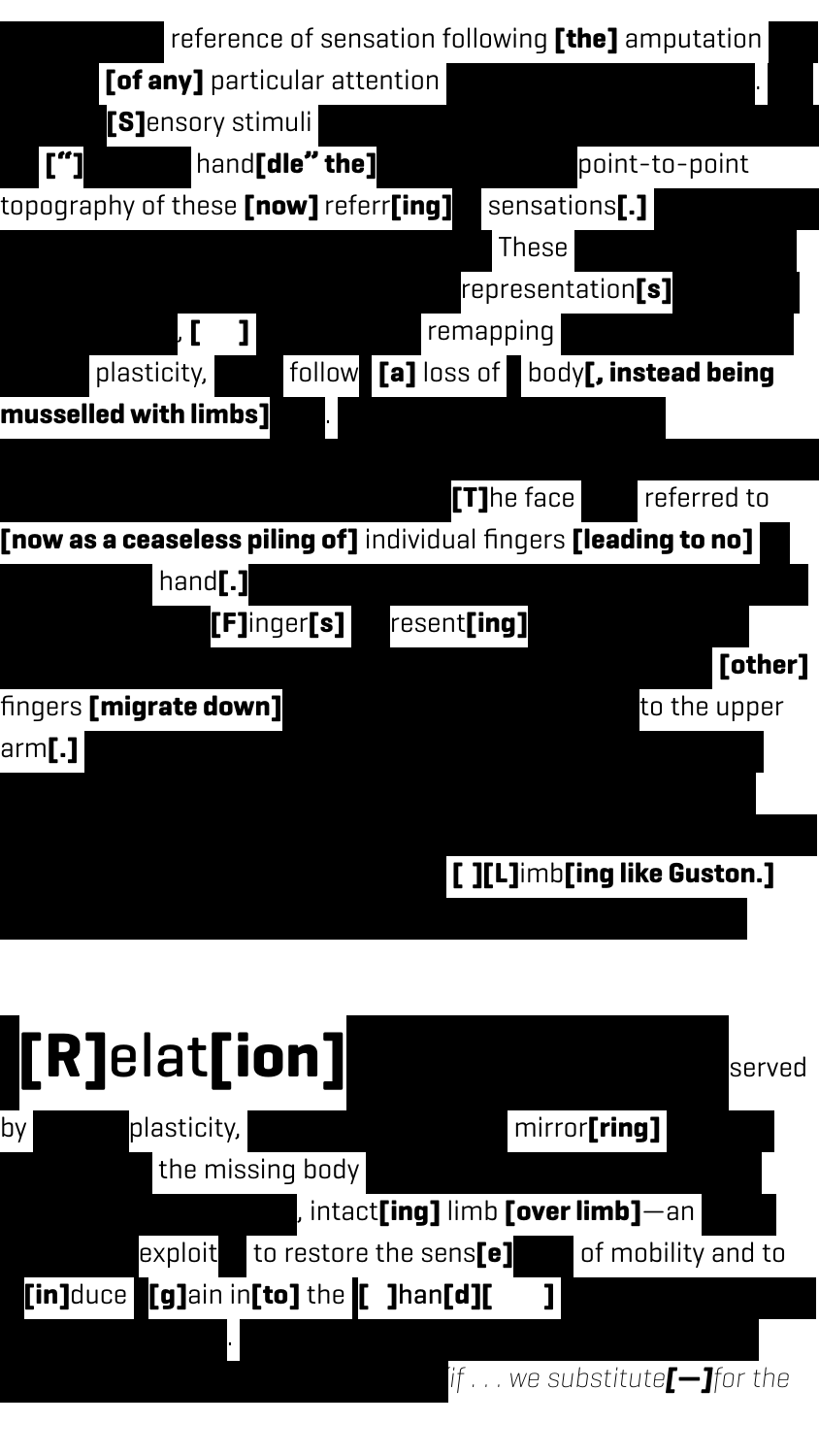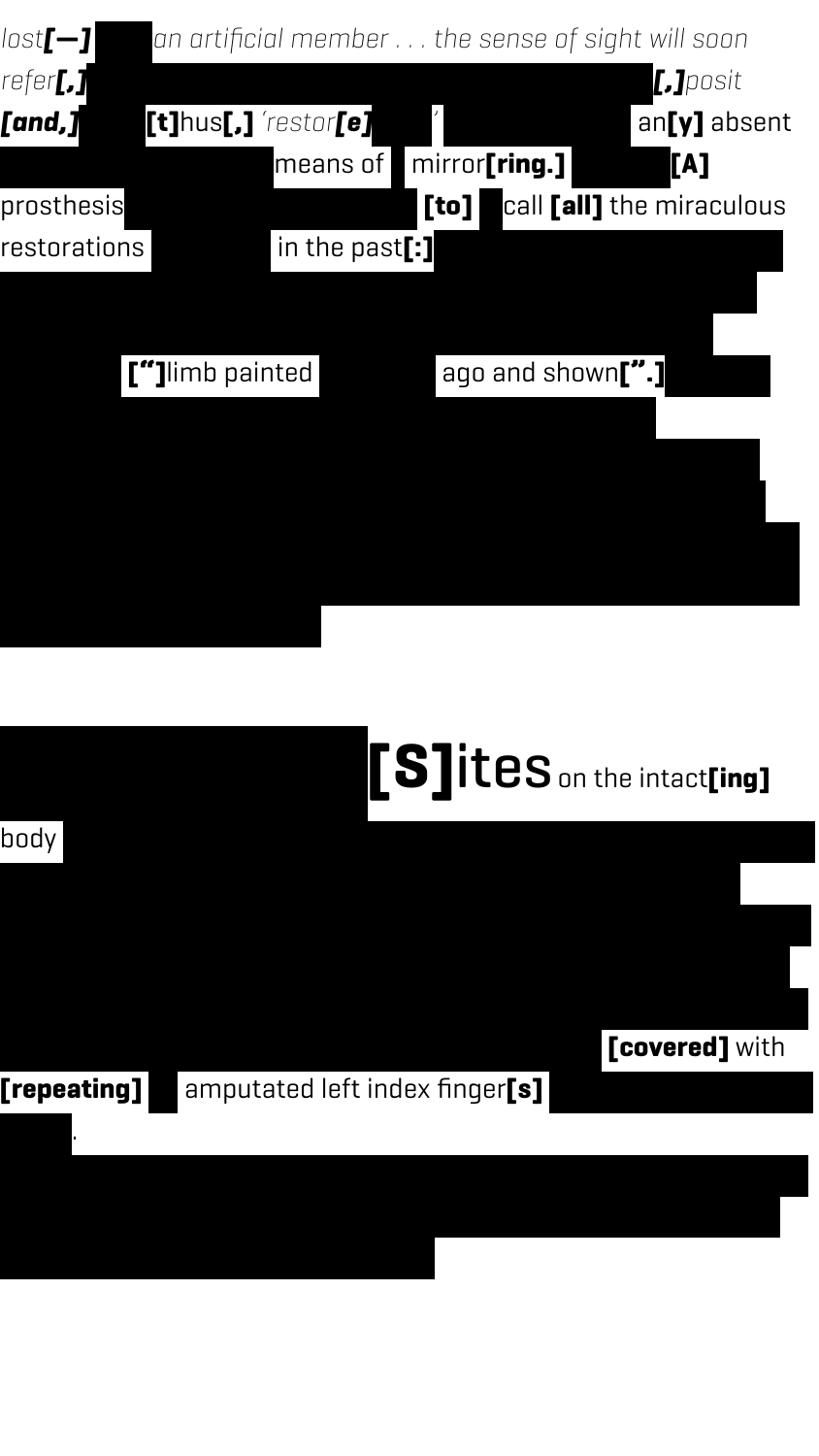

### $\textbf{[S]}$ ites on the intact[ing]

**[covered]** with

body from which sensations referred to the phantom were produced.

#### **[repeating]** amputated left index finger[s]

1997).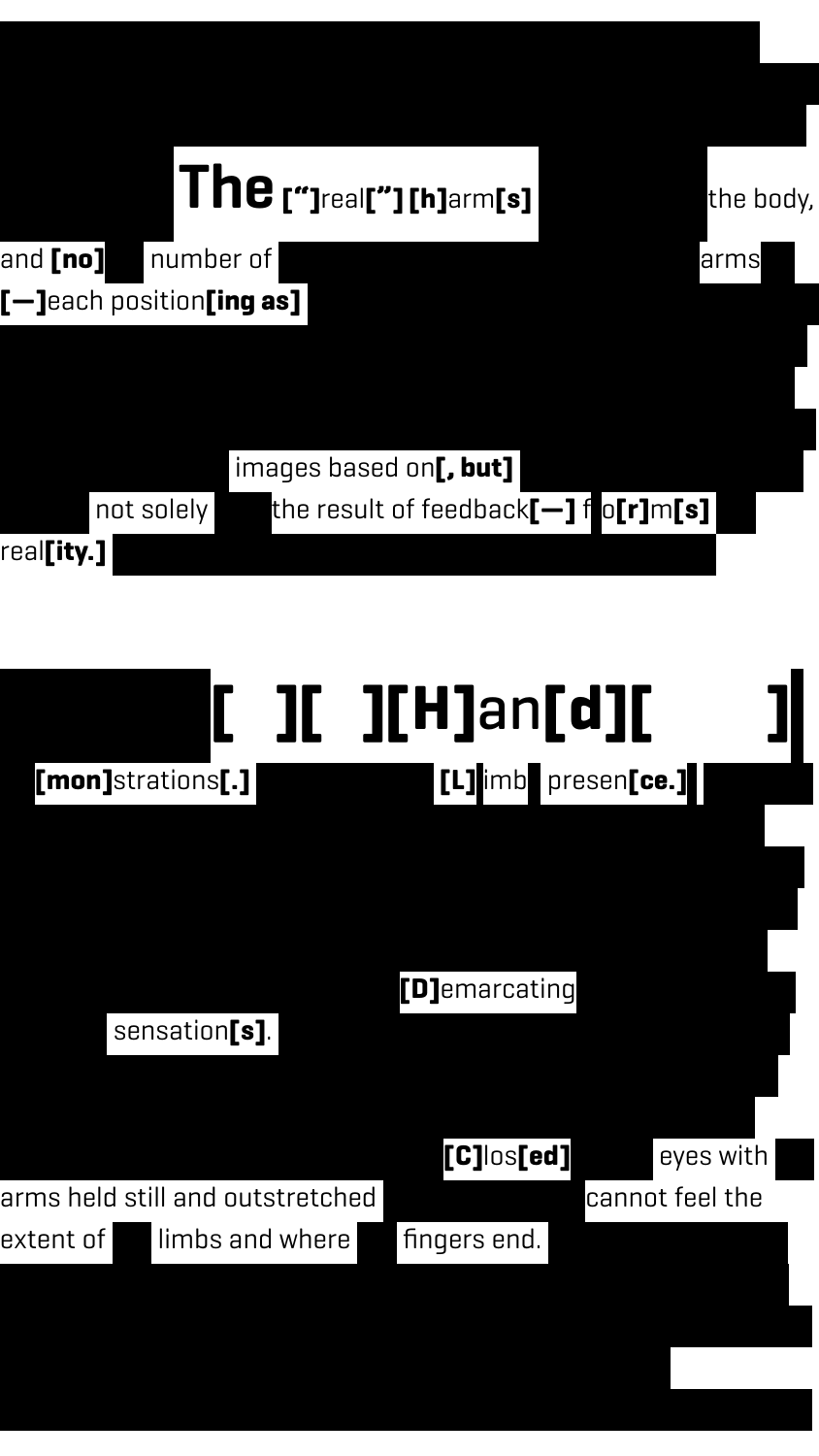